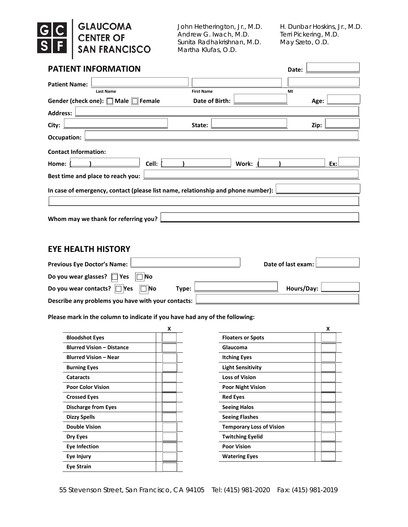# **GLAUCOMA<br>CENTER OF<br>SAN FRANCISCO**  $\begin{array}{|c|c|c|}\n\hline\nG & C \\
\hline\nS & F\n\end{array}$

John Hetherington, Jr., M.D. H. Dunbar Hoskins, Jr., M.D.<br>Andrew G. Iwach, M.D. Terri Pickering, M.D. Andrew G. Iwach, M.D. Sunita Radhakrishnan, M.D. May Szeto, O.D. Martha Klufas, O.D.

| <b>PATIENT INFORMATION</b>                                                                                                               |                                                            | Date:                                |
|------------------------------------------------------------------------------------------------------------------------------------------|------------------------------------------------------------|--------------------------------------|
| <b>Patient Name:</b><br>the control of the control of the                                                                                |                                                            |                                      |
| <b>Last Name</b>                                                                                                                         | <b>First Name</b>                                          | MI                                   |
| Gender (check one): $\Box$ Male $\Box$<br>Female                                                                                         | Date of Birth:                                             | Age:                                 |
| <b>Address:</b><br><u> 1989 - Johann Harry Harry Harry Harry Harry Harry Harry Harry Harry Harry Harry Harry Harry Harry Harry Harry</u> |                                                            |                                      |
| City:<br><u> 1989 - Johann Barn, mars ann an t-Amhain Aonaich an t-Aonaich an t-Aonaich an t-Aonaich an t-Aonaich an t-Aon</u>           | State:                                                     | Zip:                                 |
| Occupation:<br><u> 1989 - Johann Barn, amerikansk politiker (d. 1989)</u>                                                                |                                                            |                                      |
| <b>Contact Information:</b>                                                                                                              |                                                            |                                      |
| Cell:<br>Home:                                                                                                                           | Work: (                                                    | $\mathbf{I}$ and $\mathbf{I}$<br>Ex: |
| Best time and place to reach you:                                                                                                        | <u> 1989 - Johann Barn, amerikansk politiker (d. 1989)</u> |                                      |
| In case of emergency, contact (please list name, relationship and phone number): $\lfloor$                                               |                                                            |                                      |
|                                                                                                                                          |                                                            |                                      |
|                                                                                                                                          |                                                            |                                      |
| Whom may we thank for referring you?                                                                                                     |                                                            |                                      |

### **EYE HEALTH HISTORY**

| Previous Eye Doctor's Name: L                       | Date of last exam: [ |
|-----------------------------------------------------|----------------------|
| Do you wear glasses? $\Box$ Yes $\Box$ No           |                      |
| Do you wear contacts? $\Box$ Yes $\Box$ No<br>Type: | Hours/Day:           |
| Describe any problems you have with your contacts:  |                      |

#### **Please mark in the column to indicate if you have had any of the following:**

|                                  | X |                                 |
|----------------------------------|---|---------------------------------|
| <b>Bloodshot Eyes</b>            |   | <b>Floaters or Spots</b>        |
| <b>Blurred Vision - Distance</b> |   | Glaucoma                        |
| <b>Blurred Vision - Near</b>     |   | <b>Itching Eyes</b>             |
| <b>Burning Eyes</b>              |   | <b>Light Sensitivity</b>        |
| <b>Cataracts</b>                 |   | <b>Loss of Vision</b>           |
| <b>Poor Color Vision</b>         |   | <b>Poor Night Vision</b>        |
| <b>Crossed Eyes</b>              |   | <b>Red Eyes</b>                 |
| <b>Discharge from Eyes</b>       |   | <b>Seeing Halos</b>             |
| <b>Dizzy Spells</b>              |   | <b>Seeing Flashes</b>           |
| <b>Double Vision</b>             |   | <b>Temporary Loss of Vision</b> |
| Dry Eyes                         |   | <b>Twitching Eyelid</b>         |
| <b>Eye Infection</b>             |   | <b>Poor Vision</b>              |
| Eye Injury                       |   | <b>Watering Eyes</b>            |
| Eye Strain                       |   |                                 |
|                                  |   |                                 |

| Χ |                                 | X |
|---|---------------------------------|---|
|   | <b>Floaters or Spots</b>        |   |
|   | Glaucoma                        |   |
|   | <b>Itching Eyes</b>             |   |
|   | <b>Light Sensitivity</b>        |   |
|   | <b>Loss of Vision</b>           |   |
|   | <b>Poor Night Vision</b>        |   |
|   | <b>Red Eyes</b>                 |   |
|   | <b>Seeing Halos</b>             |   |
|   | <b>Seeing Flashes</b>           |   |
|   | <b>Temporary Loss of Vision</b> |   |
|   | <b>Twitching Eyelid</b>         |   |
|   | <b>Poor Vision</b>              |   |
|   | <b>Watering Eyes</b>            |   |
|   |                                 |   |